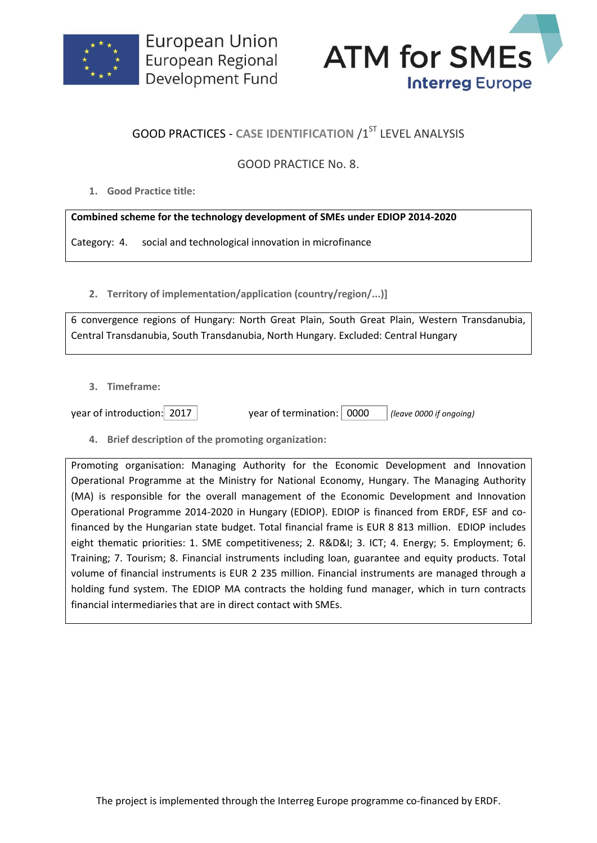



## **GOOD PRACTICES - CASE IDENTIFICATION /1ST LEVEL ANALYSIS**

## GOOD PRACTICE No. 8.

**1. Good Practice title:**

## **Combined scheme for the technology development of SMEs under EDIOP 2014-2020**

Category: 4. social and technological innovation in microfinance

**2. Territory of implementation/application (country/region/...)]**

6 convergence regions of Hungary: North Great Plain, South Great Plain, Western Transdanubia, Central Transdanubia, South Transdanubia, North Hungary. Excluded: Central Hungary

**3. Timeframe:**

year of introduction: 2017 year of termination: 0000 *(leave 0000 if ongoing)*

**4. Brief description of the promoting organization:**

Promoting organisation: Managing Authority for the Economic Development and Innovation Operational Programme at the Ministry for National Economy, Hungary. The Managing Authority (MA) is responsible for the overall management of the Economic Development and Innovation Operational Programme 2014-2020 in Hungary (EDIOP). EDIOP is financed from ERDF, ESF and cofinanced by the Hungarian state budget. Total financial frame is EUR 8 813 million. EDIOP includes eight thematic priorities: 1. SME competitiveness; 2. R&D&I; 3. ICT; 4. Energy; 5. Employment; 6. Training; 7. Tourism; 8. Financial instruments including loan, guarantee and equity products. Total volume of financial instruments is EUR 2 235 million. Financial instruments are managed through a holding fund system. The EDIOP MA contracts the holding fund manager, which in turn contracts financial intermediaries that are in direct contact with SMEs.